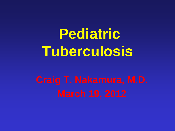# **Pediatric Tuberculosis**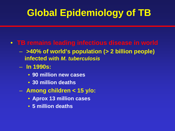### **Global Epidemiology of TB**

#### • **TB remains leading infectious disease in world**

- **>40% of world's population (> 2 billion people) infected with** *M. tuberculosis*
- **In 1990s:**
	- **90 million new cases**
	- **30 million deaths**
- **Among children < 15 y/o:**
	- **Aprox 13 million cases**
	- **5 million deaths**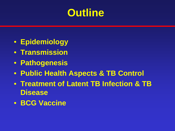### **Outline**

- **Epidemiology**
- **Transmission**
- **Pathogenesis**
- **Public Health Aspects & TB Control**
- **Treatment of Latent TB Infection & TB Disease**
- **BCG Vaccine**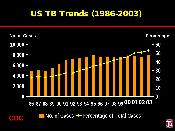### US TB Trends (1986-2003)



**No. of Cases → Percentage of Total Cases** 

**CDC**

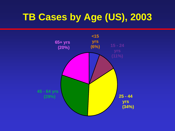### **TB Cases by Age (US), 2003**

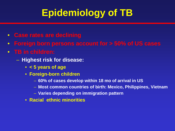### **Epidemiology of TB**

- **Case rates are declining**
- **Foreign born persons account for > 50% of US cases**
- **TB in children:**
	- **Highest risk for disease:**
		- **< 5 years of age**
		- **Foreign-born children**
			- **60% of cases develop within 18 mo of arrival in US**
			- **Most common countries of birth: Mexico, Philippines, Vietnam**
			- **Varies depending on immigration pattern**
		- **Racial ethnic minorities**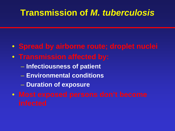### **Transmission of** *M. tuberculosis*

- **Spread by airborne route; droplet nuclei**
- **Transmission affected by:**
	- **Infectiousness of patient**
	- **Environmental conditions**
	- **Duration of exposure**
- **Most exposed persons don't become**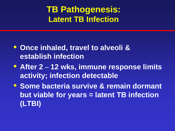### **TB Pathogenesis: Latent TB Infection**

- **Once inhaled, travel to alveoli & establish infection**
- **After 2 – 12 wks, immune response limits activity; infection detectable**
- **Some bacteria survive & remain dormant but viable for years = latent TB infection (LTBI)**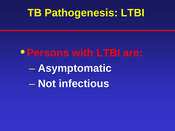### **TB Pathogenesis: LTBI**

•**Persons with LTBI are:** – **Asymptomatic** – **Not infectious**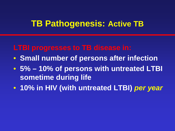#### **TB Pathogenesis: Active TB**

#### **LTBI progresses to TB disease in:**

- **Small number of persons after infection**
- **5% – 10% of persons with untreated LTBI sometime during life**
- **10% in HIV (with untreated LTBI)** *per year*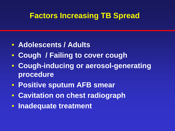#### **Factors Increasing TB Spread**

- **Adolescents / Adults**
- **Cough / Failing to cover cough**
- **Cough-inducing or aerosol-generating procedure**
- **Positive sputum AFB smear**
- **Cavitation on chest radiograph**
- **Inadequate treatment**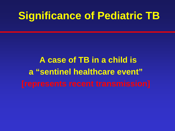### **Significance of Pediatric TB**

 **A case of TB in a child is a "sentinel healthcare event"**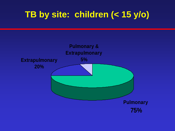### **TB by site: children (< 15 y/o)**

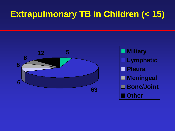### **Extrapulmonary TB in Children (< 15)**



**Lymphatic Pleura Meningeal Bone/Joint Other**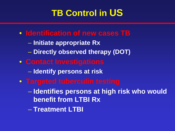### **TB Control in US**

- **Identification of new cases TB**
	- **Initiate appropriate Rx**
	- **Directly observed therapy (DOT)**
- **Contact Investigations**
	- **Identify persons at risk**
- **Targeted tuberculin testing** 
	- **Identifies persons at high risk who would benefit from LTBI Rx**
	- **Treatment LTBI**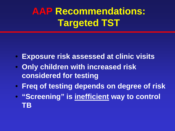### **AAP Recommendations: Targeted TST**

- **Exposure risk assessed at clinic visits**
- **Only children with increased risk considered for testing**
- **Freq of testing depends on degree of risk**
- **"Screening" is inefficient way to control TB**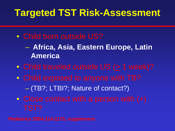### **Targeted TST Risk-Assessment**

- Child born outside US?
	- **Africa, Asia, Eastern Europe, Latin America**
- Child traveled outside US  $($  > 1 week)?
- Child exposed to anyone with TB?
	- (TB?; LTBI?; Nature of contact?)
- Close contact with a person with (+)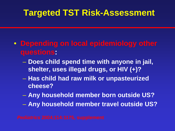### **Targeted TST Risk-Assessment**

- **Depending on local epidemiology other questions:**
	- **Does child spend time with anyone in jail, shelter, uses illegal drugs, or HIV (+)?**
	- **Has child had raw milk or unpasteurized cheese?**
	- **Any household member born outside US?**
	- **Any household member travel outside US?**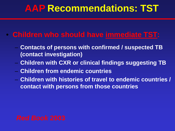- **Children who should have immediate TST:**
	- **Contacts of persons with confirmed / suspected TB (contact investigation)**
	- **Children with CXR or clinical findings suggesting TB**
	- **Children from endemic countries**
	- **Children with histories of travel to endemic countries / contact with persons from those countries**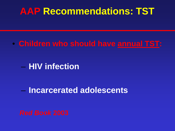#### • **Children who should have annual TST:**

– **HIV infection**

– **Incarcerated adolescents**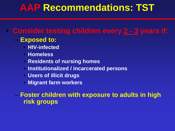#### • **Consider testing children every 2 - 3 years if:**

#### – **Exposed to:**

- **HIV-infected**
- **Homeless**
- **Residents of nursing homes**
- **Institutionalized / incarcerated persons**
- **Users of illicit drugs**
- **Migrant farm workers**

#### – **Foster children with exposure to adults in high risk groups**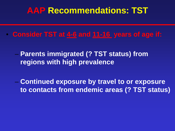- **Consider TST at 4-6 and 11-16 years of age if:**
	- **Parents immigrated (? TST status) from regions with high prevalence**
	- **Continued exposure by travel to or exposure to contacts from endemic areas (? TST status)**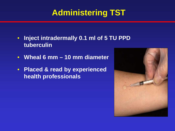### **Administering TST**

- **Inject intradermally 0.1 ml of 5 TU PPD tuberculin**
- **Wheal 6 mm – 10 mm diameter**
- **Placed & read by experienced health professionals**

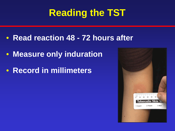### **Reading the TST**

- **Read reaction 48 - 72 hours after**
- **Measure only induration**
- **Record in millimeters**

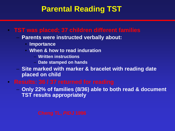#### **Parental Reading TST**

#### • **TST was placed; 37 children different families**

- **Parents were instructed verbally about:** 
	- **Importance**
	- **When & how to read induration**
		- **Written instructions**
		- **Date stamped on hands**
- **Site marked with marker & bracelet with reading date placed on child**
- **Results: 36 / 37 returned for reading** 
	- **Only 22% of families (8/36) able to both read & document TST results appropriately**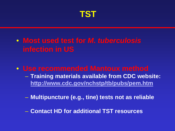

- **Most used test for** *M. tuberculosis* **infection in US**
- **Use recommended Mantoux method**
	- **Training materials available from CDC website: <http://www.cdc.gov/nchstp/tb/pubs/pem.htm>**
	- **Multipuncture (e.g., tine) tests not as reliable**
	- **Contact HD for additional TST resources**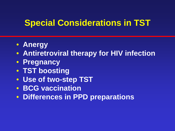### **Special Considerations in TST**

- **Anergy**
- **Antiretroviral therapy for HIV infection**
- **Pregnancy**
- **TST boosting**
- **Use of two-step TST**
- **BCG vaccination**
- **Differences in PPD preparations**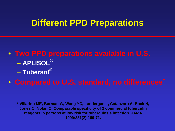#### **Different PPD Preparations**

- **Two PPD preparations available in U.S.** – **APLISOL®** – **Tubersol®**
- **Compared to U.S. standard, no differences\***

**\* Villarino ME, Burman W, Wang YC, Lundergan L, Catanzaro A, Bock N, Jones C, Nolan C. Comparable specificity of 2 commercial tuberculin reagents in persons at low risk for tuberculosis infection. JAMA 1999:281(2):169-71.**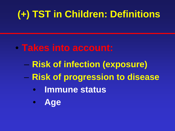### **(+) TST in Children: Definitions**

- **Takes into account:**
	- **Risk of infection (exposure)** – **Risk of progression to disease**
		- • **Immune status**
		- • **Age**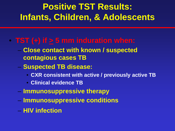### **Positive TST Results: Infants, Children, & Adolescents**

#### • **TST** (+) if  $\geq$  5 mm induration when:

- **Close contact with known / suspected contagious cases TB**
- **Suspected TB disease:**
	- **CXR consistent with active / previously active TB**
	- **Clinical evidence TB**
- **Immunosuppressive therapy**
- **Immunosuppressive conditions**
- **HIV infection**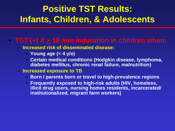### **Positive TST Results: Infants, Children, & Adolescents**

#### • **TST (+) if > 10 mm induration in children when:**

- **Increased risk of disseminated disease:**
	- **Young age (< 4 y/o)**
	- **Certain medical conditions (Hodgkin disease, lymphoma, diabetes mellitus, chronic renal failure, malnutrition)**
- **Increased exposure to TB**
	- **Born / parents born or travel to high-prevalence regions**
	- **Frequently exposed to high-risk adults (HIV, homeless, illicit drug users, nursing homes residents, incarcerated/ institutionalized, migrant farm workers)**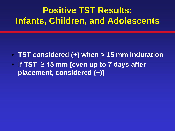### **Positive TST Results: Infants, Children, and Adolescents**

- **TST considered (+) when > 15 mm induration**
- I**f TST ≥ 15 mm [even up to 7 days after placement, considered (+)]**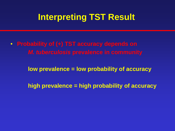### **Interpreting TST Result**

• **Probability of (+) TST accuracy depends on**  *M. tuberculosis* **prevalence in community**

**low prevalence = low probability of accuracy**

**high prevalence = high probability of accuracy**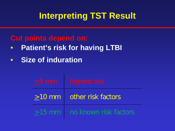### **Interpreting TST Result**

#### **Cut points depend on:**

- • **Patient's risk for having LTBI**
- • **Size of induration**

| $\geq$ 5 mm   highest risk                |
|-------------------------------------------|
| $\geq$ 10 mm other risk factors           |
| $\geq$ 15 mm $\mid$ no known risk factors |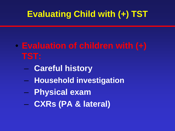### **Evaluating Child with (+) TST**

- **Evaluation of children with (+) TST:**
	- – **Careful history**
	- – **Household investigation**
	- – **Physical exam**
	- – **CXRs (PA & lateral)**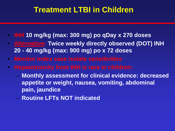#### **Treatment LTBI in Children**

- **INH 10 mg/kg (max: 300 mg) po qDay x 270 doses**
- **Alternative: Twice weekly directly observed (DOT) INH 20 - 40 mg/kg (max: 900 mg) po x 72 doses**
- **Monitor index case isolate sensitivities**
- **Hepatotoxicity from INH is rare in children:**
	- **Monthly assessment for clinical evidence: decreased appetite or weight, nausea, vomiting, abdominal pain, jaundice**
	- **Routine LFTs NOT indicated**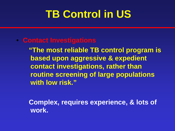## **TB Control in US**

#### • **Contact Investigations**

 **"The most reliable TB control program is based upon aggressive & expedient contact investigations, rather than routine screening of large populations with low risk."**

 **Complex, requires experience, & lots of work.**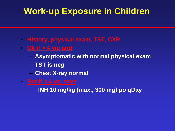### **Work-up Exposure in Children**

- **History, physical exam, TST, CXR**
- **Ok if > 4 y/o and:**
	- **Asymptomatic with normal physical exam**
	- **TST is neg**
	- **Chest X-ray normal**
- **But if < 4 yo, start:**

**INH 10 mg/kg (max., 300 mg) po qDay**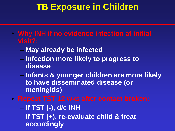### **TB Exposure in Children**

- **Why INH if no evidence infection at initial visit?:**
	- **May already be infected**
	- **Infection more likely to progress to disease**
	- **Infants & younger children are more likely to have disseminated disease (or meningitis)**
- **Repeat TST 12 wks after contact broken:**
	- **If TST (-), d/c INH**
	- **If TST (+), re-evaluate child & treat accordingly**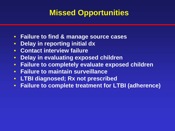### **Missed Opportunities**

- **Failure to find & manage source cases**
- **Delay in reporting initial dx**
- **Contact interview failure**
- **Delay in evaluating exposed children**
- **Failure to completely evaluate exposed children**
- **Failure to maintain surveillance**
- **LTBI diagnosed; Rx not prescribed**
- **Failure to complete treatment for LTBI (adherence)**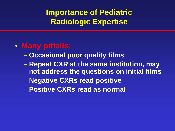### **Importance of Pediatric Radiologic Expertise**

#### • **Many pitfalls:**

- **Occasional poor quality films**
- **Repeat CXR at the same institution, may not address the questions on initial films**
- **Negative CXRs read positive**
- **Positive CXRs read as normal**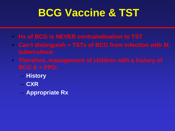## **BCG Vaccine & TST**

- **Hx of BCG is NEVER contraindication to TST**
- **Can't distinguish + TSTs of BCG from infection with** *M. tuberculosis*
- **Therefore, management of children with a history of** 
	- **History**
	- **CXR**
	- **Appropriate Rx**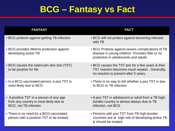### **BCG – Fantasy vs Fact**

| <b>FANTASY</b>                                                                                             | <b>FACT</b>                                                                                                                                   |
|------------------------------------------------------------------------------------------------------------|-----------------------------------------------------------------------------------------------------------------------------------------------|
| • BCG protects against getting TB infection                                                                | • BCG will not protect against becoming infected<br>with TB                                                                                   |
| • BCG provides lifetime protection against<br>developing active TB                                         | • BCG Protects against severe complications of TB<br>disease in young children. Provides little or no<br>protection in adolescents and adults |
| • BCG causes the tuberculin skin test (TST)<br>to be positive for life                                     | • BCG causes the TST pos for a few years & then<br>TST reaction becomes much weaker. Generally,<br>no reaction is present after 5 years.      |
| • In a BCG-vaccinated person, a pos TST is<br>most likely due to BCG                                       | • There is no way to tell whether a pos TST is due<br>to BCG or TB infection                                                                  |
| • A positive TST in a person of any age<br>from any country is most likely due to<br>BCG, not TB infection | • A pos TST in adolescent or adult from a TB high-<br>burden country is almost always due to TB<br>infection, not BCG                         |
| • There is no need for a BCG-vaccinated<br>person with a positive TST to be treated                        | • Persons with pos TST from TB high-burden<br>countries are at high risk of developing active TB<br>& should be treated                       |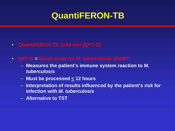### **QuantiFERON-TB**

- **QuantiFERON-TB Gold test (QFT-G)**
- **QFT-G = blood assay for** *M. tuberculosis* **(BAMT)**
	- **Measures the patient's immune system reaction to** *M. tuberculosis*
	- **Must be processed < 12 hours**
	- **Interpretation of results influenced by the patient's risk for infection with** *M. tuberculosis*
	- **Alternative to TST**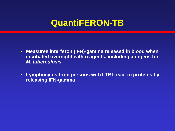### **QuantiFERON-TB**

- **Measures interferon (IFN)-gamma released in blood when incubated overnight with reagents, including antigens for**  *M. tuberculosis*
- **Lymphocytes from persons with LTBI react to proteins by releasing IFN-gamma**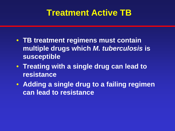### **Treatment Active TB**

- **TB treatment regimens must contain multiple drugs which** *M. tuberculosis* **is susceptible**
- **Treating with a single drug can lead to resistance**
- **Adding a single drug to a failing regimen can lead to resistance**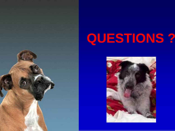

# **QUESTIONS ?**